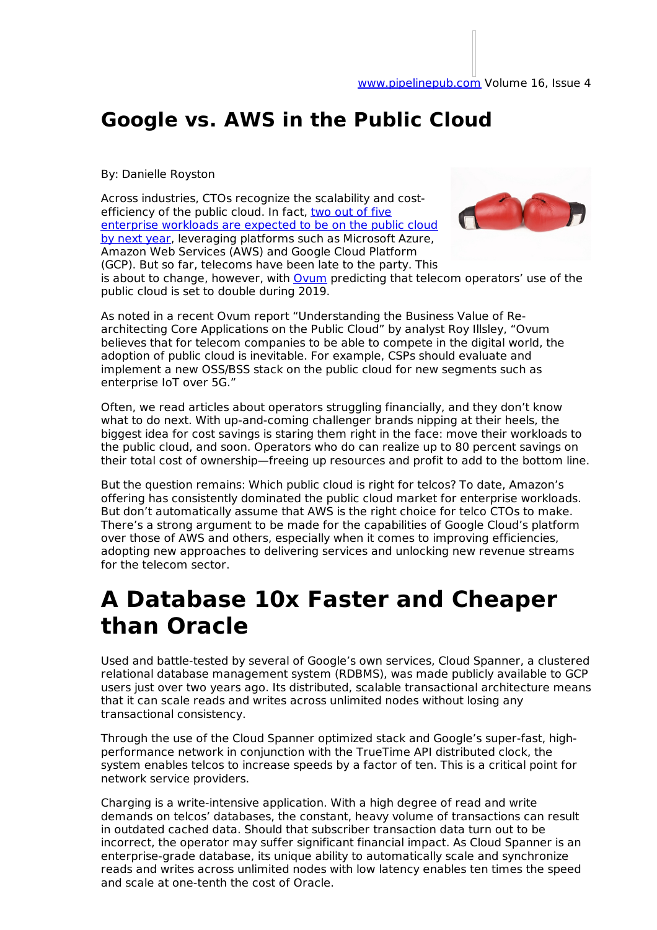#### **Google vs. AWS in the Public Cloud**

#### By: Danielle Royston

Across industries, CTOs recognize the scalability and costefficiency of the public cloud. In fact, two out of five enterprise workloads are expected to be on the public cloud by next year, leveraging platforms such as Microsoft Azure, Amazon Web Services (AWS) and Google Cloud Platform (GCP). But so far, telecoms have been late to the party. This



is about to change, however, with Ovum predicting that telecom operators' use of the public cloud is set to double during 2019.

As noted in a recent Ovum report "Understanding the Business Value of Rearchitecting Core Applications on the Public Cloud" by analyst Roy Illsley, "Ovum believes that for telecom companies to be able to compete in the digital world, the adoption of public cloud is inevitable. For example, CSPs should evaluate and implement a new OSS/BSS stack on the public cloud for new segments such as enterprise IoT over 5G."

Often, we read articles about operators struggling financially, and they don't know what to do next. With up-and-coming challenger brands nipping at their heels, the biggest idea for cost savings is staring them right in the face: move their workloads to the public cloud, and soon. Operators who do can realize up to 80 percent savings on their total cost of ownership—freeing up resources and profit to add to the bottom line.

But the question remains: Which public cloud is right for telcos? To date, Amazon's offering has consistently dominated the public cloud market for enterprise workloads. But don't automatically assume that AWS is the right choice for telco CTOs to make. There's a strong argument to be made for the capabilities of Google Cloud's platform over those of AWS and others, especially when it comes to improving efficiencies, adopting new approaches to delivering services and unlocking new revenue streams for the telecom sector.

## **A Database 10x Faster and Cheaper than Oracle**

Used and battle-tested by several of Google's own services, Cloud Spanner, a clustered relational database management system (RDBMS), was made publicly available to GCP users just over two years ago. Its distributed, scalable transactional architecture means that it can scale reads and writes across unlimited nodes without losing any transactional consistency.

Through the use of the Cloud Spanner optimized stack and Google's super-fast, highperformance network in conjunction with the TrueTime API distributed clock, the system enables telcos to increase speeds by a factor of ten. This is a critical point for network service providers.

Charging is a write-intensive application. With a high degree of read and write demands on telcos' databases, the constant, heavy volume of transactions can result in outdated cached data. Should that subscriber transaction data turn out to be incorrect, the operator may suffer significant financial impact. As Cloud Spanner is an enterprise-grade database, its unique ability to automatically scale and synchronize reads and writes across unlimited nodes with low latency enables ten times the speed and scale at one-tenth the cost of Oracle.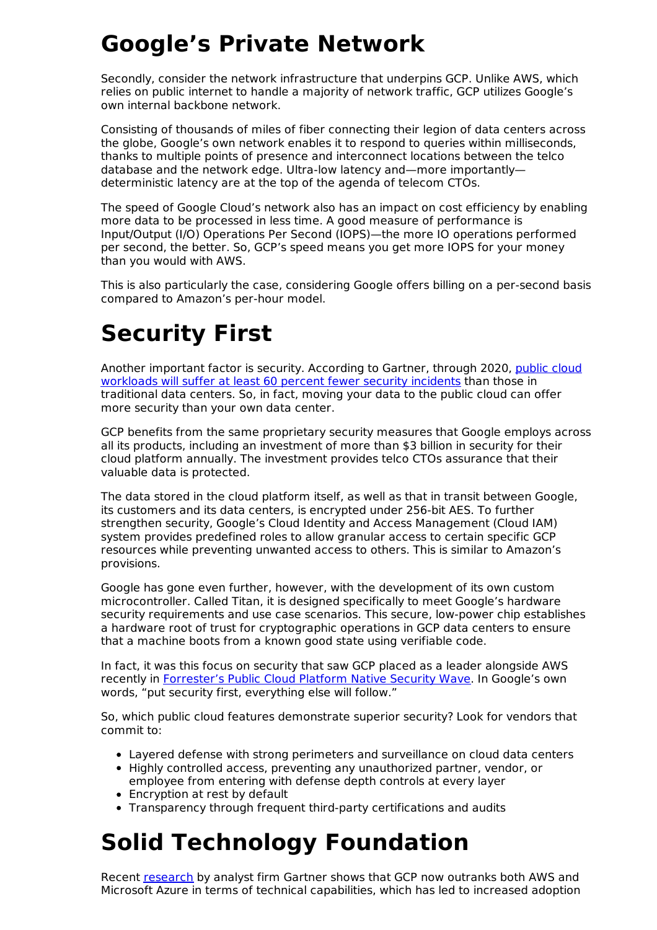# **Google's Private Network**

Secondly, consider the network infrastructure that underpins GCP. Unlike AWS, which relies on public internet to handle a majority of network traffic, GCP utilizes Google's own internal backbone network.

Consisting of thousands of miles of fiber connecting their legion of data centers across the globe, Google's own network enables it to respond to queries within milliseconds, thanks to multiple points of presence and interconnect locations between the telco database and the network edge. Ultra-low latency and—more importantly deterministic latency are at the top of the agenda of telecom CTOs.

The speed of Google Cloud's network also has an impact on cost efficiency by enabling more data to be processed in less time. A good measure of performance is Input/Output (I/O) Operations Per Second (IOPS)—the more IO operations performed per second, the better. So, GCP's speed means you get more IOPS for your money than you would with AWS.

This is also particularly the case, considering Google offers billing on a per-second basis compared to Amazon's per-hour model.

# **Security First**

Another important factor is security. According to Gartner, through 2020, public cloud workloads will suffer at least 60 percent fewer security incidents than those in traditional data centers. So, in fact, moving your data to the public cloud can offer more security than your own data center.

GCP benefits from the same proprietary security measures that Google employs across all its products, including an investment of more than \$3 billion in security for their cloud platform annually. The investment provides telco CTOs assurance that their valuable data is protected.

The data stored in the cloud platform itself, as well as that in transit between Google, its customers and its data centers, is encrypted under 256-bit AES. To further strengthen security, Google's Cloud Identity and Access Management (Cloud IAM) system provides predefined roles to allow granular access to certain specific GCP resources while preventing unwanted access to others. This is similar to Amazon's provisions.

Google has gone even further, however, with the development of its own custom microcontroller. Called Titan, it is designed specifically to meet Google's hardware security requirements and use case scenarios. This secure, low-power chip establishes a hardware root of trust for cryptographic operations in GCP data centers to ensure that a machine boots from a known good state using verifiable code.

In fact, it was this focus on security that saw GCP placed as a leader alongside AWS recently in Forrester's Public Cloud Platform Native Security Wave. In Google's own words, "put security first, everything else will follow."

So, which public cloud features demonstrate superior security? Look for vendors that commit to:

- Layered defense with strong perimeters and surveillance on cloud data centers
- Highly controlled access, preventing any unauthorized partner, vendor, or employee from entering with defense depth controls at every layer
- Encryption at rest by default
- Transparency through frequent third-party certifications and audits

## **Solid Technology Foundation**

Recent research by analyst firm Gartner shows that GCP now outranks both AWS and Microsoft Azure in terms of technical capabilities, which has led to increased adoption